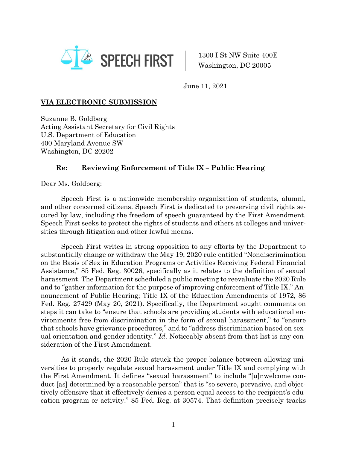

1300 I St NW Suite 400E Washington, DC 20005

June 11, 2021

## **VIA ELECTRONIC SUBMISSION**

Suzanne B. Goldberg Acting Assistant Secretary for Civil Rights U.S. Department of Education 400 Maryland Avenue SW Washington, DC 20202

## **Re: Reviewing Enforcement of Title IX – Public Hearing**

Dear Ms. Goldberg:

Speech First is a nationwide membership organization of students, alumni, and other concerned citizens. Speech First is dedicated to preserving civil rights secured by law, including the freedom of speech guaranteed by the First Amendment. Speech First seeks to protect the rights of students and others at colleges and universities through litigation and other lawful means.

Speech First writes in strong opposition to any efforts by the Department to substantially change or withdraw the May 19, 2020 rule entitled "Nondiscrimination on the Basis of Sex in Education Programs or Activities Receiving Federal Financial Assistance," 85 Fed. Reg. 30026, specifically as it relates to the definition of sexual harassment. The Department scheduled a public meeting to reevaluate the 2020 Rule and to "gather information for the purpose of improving enforcement of Title IX." Announcement of Public Hearing; Title IX of the Education Amendments of 1972, 86 Fed. Reg. 27429 (May 20, 2021). Specifically, the Department sought comments on steps it can take to "ensure that schools are providing students with educational environments free from discrimination in the form of sexual harassment," to "ensure that schools have grievance procedures," and to "address discrimination based on sexual orientation and gender identity." *Id.* Noticeably absent from that list is any consideration of the First Amendment.

As it stands, the 2020 Rule struck the proper balance between allowing universities to properly regulate sexual harassment under Title IX and complying with the First Amendment. It defines "sexual harassment" to include "[u]nwelcome conduct [as] determined by a reasonable person" that is "so severe, pervasive, and objectively offensive that it effectively denies a person equal access to the recipient's education program or activity." 85 Fed. Reg. at 30574. That definition precisely tracks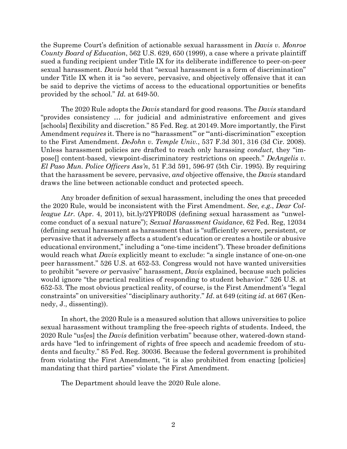the Supreme Court's definition of actionable sexual harassment in *Davis v. Monroe County Board of Education*, 562 U.S. 629, 650 (1999), a case where a private plaintiff sued a funding recipient under Title IX for its deliberate indifference to peer-on-peer sexual harassment. *Davis* held that "sexual harassment is a form of discrimination" under Title IX when it is "so severe, pervasive, and objectively offensive that it can be said to deprive the victims of access to the educational opportunities or benefits provided by the school." *Id.* at 649-50.

The 2020 Rule adopts the *Davis* standard for good reasons. The *Davis* standard "provides consistency … for judicial and administrative enforcement and gives [schools] flexibility and discretion." 85 Fed. Reg. at 20149. More importantly, the First Amendment *requires* it. There is no ""harassment" or ""anti-discrimination" exception to the First Amendment. *DeJohn v. Temple Univ.*, 537 F.3d 301, 316 (3d Cir. 2008). Unless harassment policies are drafted to reach only harassing *conduct*, they "impose[] content-based, viewpoint-discriminatory restrictions on speech." *DeAngelis v. El Paso Mun. Police Officers Ass'n*, 51 F.3d 591, 596-97 (5th Cir. 1995). By requiring that the harassment be severe, pervasive, *and* objective offensive, the *Davis* standard draws the line between actionable conduct and protected speech.

Any broader definition of sexual harassment, including the ones that preceded the 2020 Rule, would be inconsistent with the First Amendment. *See, e.g.*, *Dear Colleague Ltr.* (Apr. 4, 2011), bit.ly/2YPR0DS (defining sexual harassment as "unwelcome conduct of a sexual nature"); *Sexual Harassment Guidance*, 62 Fed. Reg, 12034 (defining sexual harassment as harassment that is "sufficiently severe, persistent, or pervasive that it adversely affects a student's education or creates a hostile or abusive educational environment," including a "one-time incident"). These broader definitions would reach what *Davis* explicitly meant to exclude: "a single instance of one-on-one peer harassment." 526 U.S. at 652-53. Congress would not have wanted universities to prohibit "severe *or* pervasive" harassment, *Davis* explained, because such policies would ignore "the practical realities of responding to student behavior." 526 U.S. at 652-53. The most obvious practical reality, of course, is the First Amendment's "legal constraints" on universities' "disciplinary authority." *Id*. at 649 (citing *id*. at 667 (Kennedy, J., dissenting)).

In short, the 2020 Rule is a measured solution that allows universities to police sexual harassment without trampling the free-speech rights of students. Indeed, the 2020 Rule "us[es] the *Davis* definition verbatim" because other, watered-down standards have "led to infringement of rights of free speech and academic freedom of students and faculty." 85 Fed. Reg. 30036. Because the federal government is prohibited from violating the First Amendment, "it is also prohibited from enacting [policies] mandating that third parties" violate the First Amendment.

The Department should leave the 2020 Rule alone.